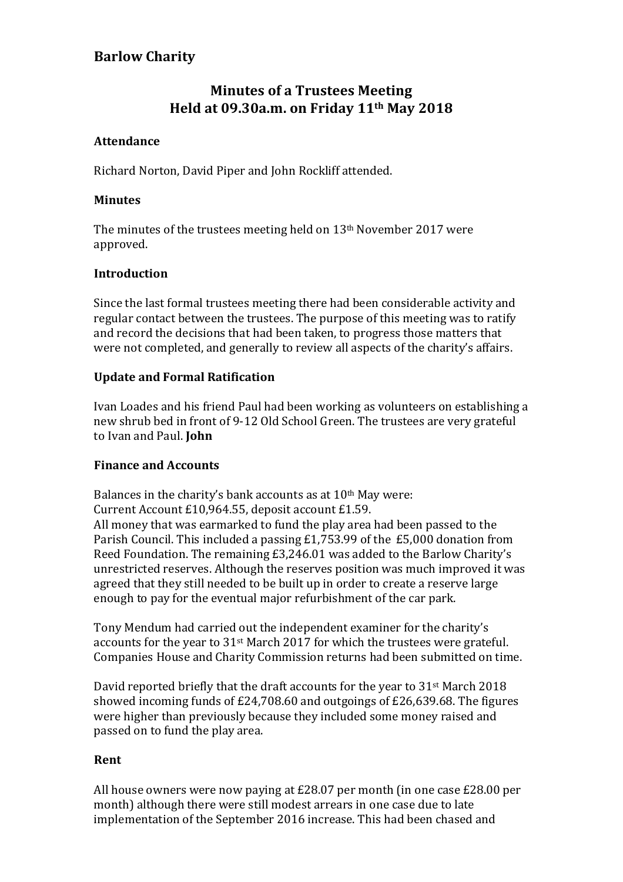## **Barlow Charity**

# **Minutes of a Trustees Meeting Held at 09.30a.m. on Friday 11th May 2018**

## **Attendance**

Richard Norton, David Piper and John Rockliff attended.

#### **Minutes**

The minutes of the trustees meeting held on  $13<sup>th</sup>$  November 2017 were approved.

#### **Introduction**

Since the last formal trustees meeting there had been considerable activity and regular contact between the trustees. The purpose of this meeting was to ratify and record the decisions that had been taken, to progress those matters that were not completed, and generally to review all aspects of the charity's affairs.

## **Update and Formal Ratification**

Ivan Loades and his friend Paul had been working as volunteers on establishing a new shrub bed in front of 9-12 Old School Green. The trustees are very grateful to Ivan and Paul. **John** 

#### **Finance and Accounts**

Balances in the charity's bank accounts as at  $10<sup>th</sup>$  May were: Current Account £10,964.55, deposit account £1.59.

All money that was earmarked to fund the play area had been passed to the Parish Council. This included a passing £1,753.99 of the £5,000 donation from Reed Foundation. The remaining £3,246.01 was added to the Barlow Charity's unrestricted reserves. Although the reserves position was much improved it was agreed that they still needed to be built up in order to create a reserve large enough to pay for the eventual major refurbishment of the car park.

Tony Mendum had carried out the independent examiner for the charity's accounts for the year to  $31<sup>st</sup>$  March 2017 for which the trustees were grateful. Companies House and Charity Commission returns had been submitted on time.

David reported briefly that the draft accounts for the year to  $31<sup>st</sup>$  March 2018 showed incoming funds of  $E24,708.60$  and outgoings of  $E26,639.68$ . The figures were higher than previously because they included some money raised and passed on to fund the play area.

#### **Rent**

All house owners were now paying at  $£28.07$  per month (in one case  $£28.00$  per month) although there were still modest arrears in one case due to late implementation of the September 2016 increase. This had been chased and